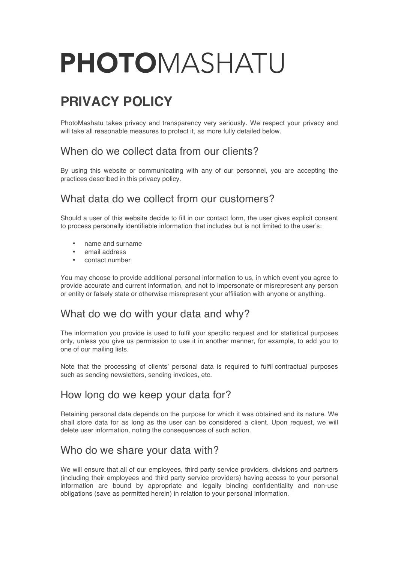# PHOTOMASHATU

# **PRIVACY POLICY**

PhotoMashatu takes privacy and transparency very seriously. We respect your privacy and will take all reasonable measures to protect it, as more fully detailed below.

#### When do we collect data from our clients?

By using this website or communicating with any of our personnel, you are accepting the practices described in this privacy policy.

### What data do we collect from our customers?

Should a user of this website decide to fill in our contact form, the user gives explicit consent to process personally identifiable information that includes but is not limited to the user's:

- name and surname
- email address
- contact number

You may choose to provide additional personal information to us, in which event you agree to provide accurate and current information, and not to impersonate or misrepresent any person or entity or falsely state or otherwise misrepresent your affiliation with anyone or anything.

### What do we do with your data and why?

The information you provide is used to fulfil your specific request and for statistical purposes only, unless you give us permission to use it in another manner, for example, to add you to one of our mailing lists.

Note that the processing of clients' personal data is required to fulfil contractual purposes such as sending newsletters, sending invoices, etc.

# How long do we keep your data for?

Retaining personal data depends on the purpose for which it was obtained and its nature. We shall store data for as long as the user can be considered a client. Upon request, we will delete user information, noting the consequences of such action.

### Who do we share your data with?

We will ensure that all of our employees, third party service providers, divisions and partners (including their employees and third party service providers) having access to your personal information are bound by appropriate and legally binding confidentiality and non-use obligations (save as permitted herein) in relation to your personal information.